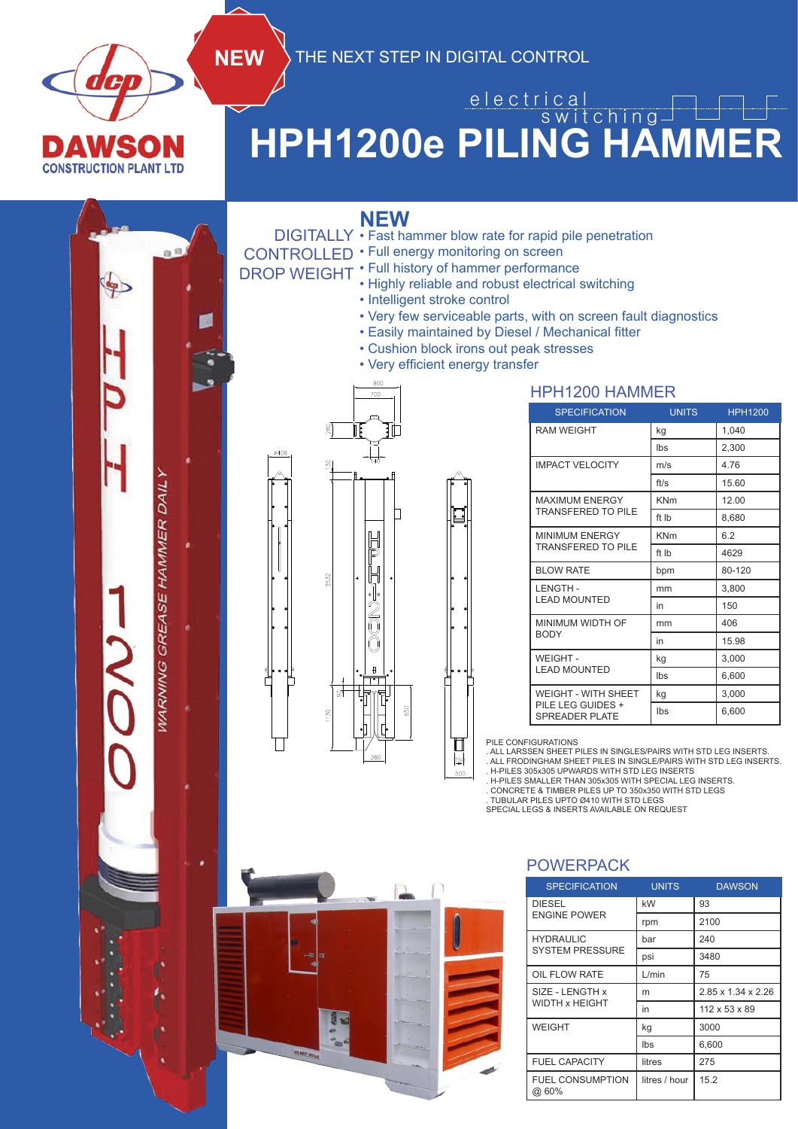

## **HPH1200e PILING HAMMER** e l e c t r i c a l switching

**NEW**

**NEW** THE NEXT STEP IN DIGITAL CONTROL

- DIGITALLY Fast hammer blow rate for rapid pile penetration
- CONTROLLED  $\cdot$  Full energy monitoring on screen
	- Full history of hammer performance
- DROP WEIGHT . Full history of namilier performance<br>Highly reliable and robust electrical switching
	- Intelligent stroke control
	- Very few serviceable parts, with on screen fault diagnostics

HPH1200 HAMMER

- Easily maintained by Diesel / Mechanical fitter
- Cushion block irons out peak stresses
- Very efficient energy transfer



| <b>SPECIFICATION</b>                       | <b>UNITS</b> | <b>HPH1200</b> |  |  |
|--------------------------------------------|--------------|----------------|--|--|
| <b>RAM WEIGHT</b>                          | kg           | 1,040          |  |  |
|                                            | Ibs          | 2,300          |  |  |
| <b>IMPACT VELOCITY</b>                     | m/s          | 4.76           |  |  |
|                                            | ft/s         | 15.60          |  |  |
| <b>MAXIMUM ENERGY</b>                      | <b>KNm</b>   | 12.00          |  |  |
| <b>TRANSFERED TO PILE</b>                  | ft Ib        | 8,680          |  |  |
| <b>MINIMUM ENERGY</b>                      | <b>KNm</b>   | 6.2            |  |  |
| <b>TRANSFERED TO PILE</b>                  | ft Ib        | 4629           |  |  |
| <b>BLOW RATE</b>                           | bpm          | 80-120         |  |  |
| <b>LENGTH-</b>                             | mm           | 3,800          |  |  |
| <b>LEAD MOUNTED</b>                        | in           | 150            |  |  |
| MINIMUM WIDTH OF                           | 406<br>mm    |                |  |  |
| <b>BODY</b>                                | in           | 15.98          |  |  |
| WEIGHT-                                    | 3,000<br>kg  |                |  |  |
| <b>LEAD MOUNTED</b>                        | Ibs          | 6,600          |  |  |
| <b>WEIGHT - WITH SHEET</b>                 | kg           | 3,000          |  |  |
| PILE LEG GUIDES +<br><b>SPREADER PLATE</b> | Ibs          | 6,600          |  |  |

PILE CONFIGURATIONS

◫  $\mathbf{150}$ 500

. ALL LARSSEN SHEET PILES IN SINGLES/PAIRS WITH STD LEG INSERTS. . ALL FRODINGHAM SHEET PILES IN SINGLE/PAIRS WITH STD LEG INSERTS. . H-PILES 305x305 UPWARDS WITH STD LEG INSERTS

. H-PILES SMALLER THAN 305x305 WITH SPECIAL LEG INSERTS. . CONCRETE & TIMBER PILES UP TO 350x350 WITH STD LEGS

. TUBULAR PILES UPTO Ø410 WITH STD LEGS SPECIAL LEGS & INSERTS AVAILABLE ON REQUEST

## POWERPACK

| <b>SPECIFICATION</b>             | <b>UNITS</b>  | <b>DAWSON</b>                  |  |  |
|----------------------------------|---------------|--------------------------------|--|--|
| <b>DIESEL</b>                    | kW            | 93                             |  |  |
| <b>ENGINE POWER</b>              | rpm           | 2100                           |  |  |
| <b>HYDRAULIC</b>                 | bar           | 240                            |  |  |
| <b>SYSTEM PRESSURE</b>           | psi           | 3480                           |  |  |
| OIL FLOW RATE                    | L/min         | 75                             |  |  |
| SIZE - LENGTH x                  | m             | $2.85 \times 1.34 \times 2.26$ |  |  |
| WIDTH x HEIGHT                   | in            | 112 x 53 x 89                  |  |  |
| <b>WEIGHT</b>                    | kg            | 3000                           |  |  |
|                                  | Ibs           | 6,600                          |  |  |
| <b>FUEL CAPACITY</b>             | litres        | 275                            |  |  |
| <b>FUEL CONSUMPTION</b><br>@ 60% | litres / hour | 15.2                           |  |  |